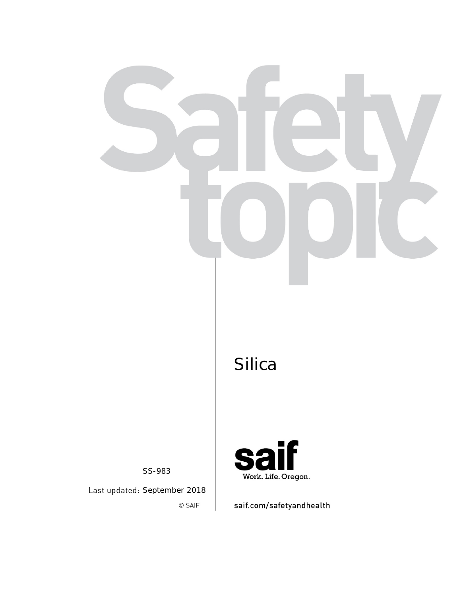SS-983

Last updated: September 2018 © SAIF



saif.com/safetyandhealth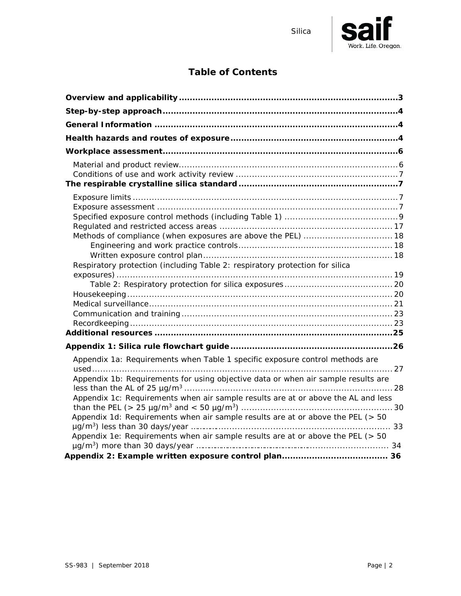

## **Table of Contents**

| Respiratory protection (including Table 2: respiratory protection for silica      |  |
|-----------------------------------------------------------------------------------|--|
|                                                                                   |  |
|                                                                                   |  |
|                                                                                   |  |
|                                                                                   |  |
|                                                                                   |  |
|                                                                                   |  |
|                                                                                   |  |
|                                                                                   |  |
| Appendix 1a: Requirements when Table 1 specific exposure control methods are      |  |
|                                                                                   |  |
| Appendix 1b: Requirements for using objective data or when air sample results are |  |
| Appendix 1c: Requirements when air sample results are at or above the AL and less |  |
|                                                                                   |  |
| Appendix 1d: Requirements when air sample results are at or above the PEL (> 50   |  |
|                                                                                   |  |
| Appendix 1e: Requirements when air sample results are at or above the PEL (> 50   |  |
|                                                                                   |  |
|                                                                                   |  |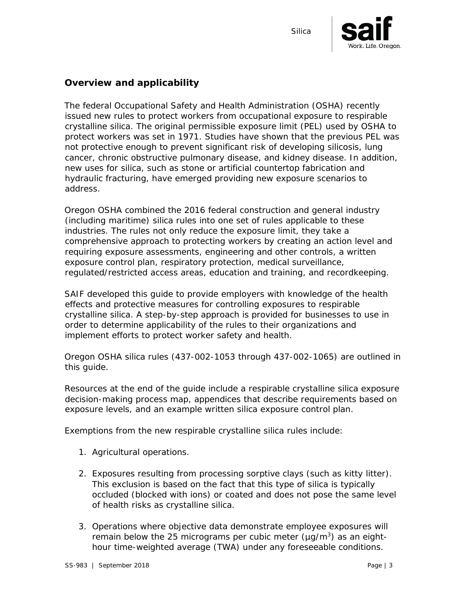

#### <span id="page-2-0"></span>**Overview and applicability**

The federal Occupational Safety and Health Administration (OSHA) recently issued new rules to protect workers from occupational exposure to respirable crystalline silica. The original permissible exposure limit (PEL) used by OSHA to protect workers was set in 1971. Studies have shown that the previous PEL was not protective enough to prevent significant risk of developing silicosis, lung cancer, chronic obstructive pulmonary disease, and kidney disease. In addition, new uses for silica, such as stone or artificial countertop fabrication and hydraulic fracturing, have emerged providing new exposure scenarios to address.

Oregon OSHA combined the 2016 federal construction and general industry (including maritime) silica rules into one set of rules applicable to these industries. The rules not only reduce the exposure limit, they take a comprehensive approach to protecting workers by creating an action level and requiring exposure assessments, engineering and other controls, a written exposure control plan, respiratory protection, medical surveillance, regulated/restricted access areas, education and training, and recordkeeping.

SAIF developed this guide to provide employers with knowledge of the health effects and protective measures for controlling exposures to respirable crystalline silica. A step-by-step approach is provided for businesses to use in order to determine applicability of the rules to their organizations and implement efforts to protect worker safety and health.

Oregon OSHA silica rules (437-002-1053 through 437-002-1065) are outlined in this guide.

Resources at the end of the guide include a respirable crystalline silica exposure decision-making process map, appendices that describe requirements based on exposure levels, and an example written silica exposure control plan.

Exemptions from the new respirable crystalline silica rules include:

- 1. Agricultural operations.
- 2. Exposures resulting from *processing sorptive clays* (such as kitty litter). This exclusion is based on the fact that this type of silica is typically occluded (blocked with ions) or coated and does not pose the same level of health risks as crystalline silica.
- 3. Operations where *objective data* demonstrate employee exposures will remain below the 25 micrograms per cubic meter  $(\mu q/m^3)$  as an eighthour time-weighted average (TWA) under any foreseeable conditions.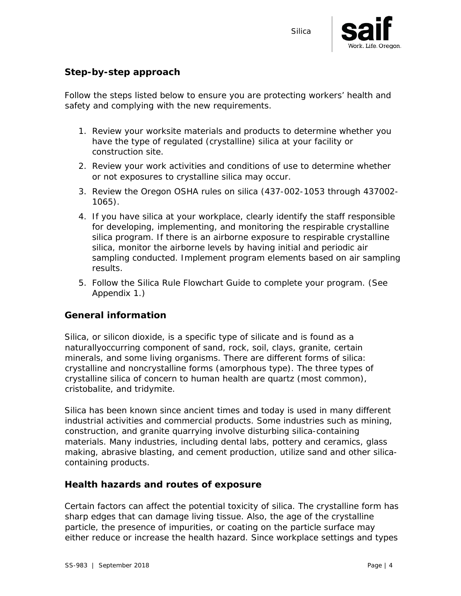

#### <span id="page-3-0"></span>**Step-by-step approach**

Follow the steps listed below to ensure you are protecting workers' health and safety and complying with the new requirements.

- 1. Review your worksite materials and products to determine whether you have the type of regulated (crystalline) silica at your facility or construction site.
- 2. Review your work activities and conditions of use to determine whether or not exposures to crystalline silica may occur.
- 3. Review the Oregon OSHA rules on silica (437-002-1053 through 437002- 1065).
- 4. If you have silica at your workplace, clearly identify the staff responsible for developing, implementing, and monitoring the respirable crystalline silica program. If there is an airborne exposure to respirable crystalline silica, monitor the airborne levels by having initial and periodic air sampling conducted. Implement program elements based on air sampling results.
- 5. Follow the Silica Rule Flowchart Guide to complete your program. (See Appendix 1.)

#### <span id="page-3-1"></span>**General information**

Silica, or silicon dioxide, is a specific type of silicate and is found as a naturallyoccurring component of sand, rock, soil, clays, granite, certain minerals, and some living organisms. There are different forms of silica: crystalline and noncrystalline forms (amorphous type). The three types of crystalline silica of concern to human health are quartz (most common), cristobalite, and tridymite.

Silica has been known since ancient times and today is used in many different industrial activities and commercial products. Some industries such as mining, construction, and granite quarrying involve disturbing silica-containing materials. Many industries, including dental labs, pottery and ceramics, glass making, abrasive blasting, and cement production, utilize sand and other silicacontaining products.

#### <span id="page-3-2"></span>**Health hazards and routes of exposure**

Certain factors can affect the potential toxicity of silica. The crystalline form has sharp edges that can damage living tissue. Also, the age of the crystalline particle, the presence of impurities, or coating on the particle surface may either reduce or increase the health hazard. Since workplace settings and types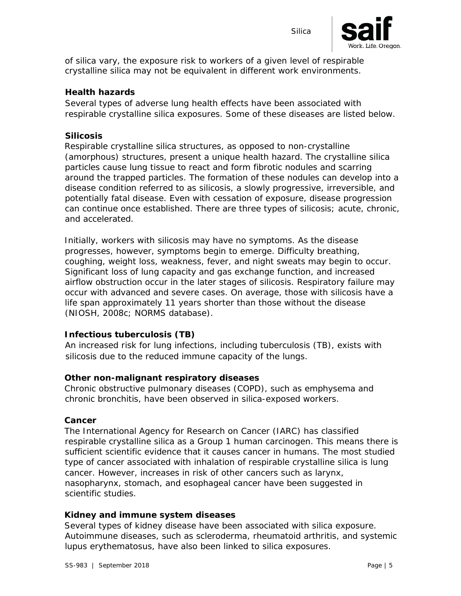

of silica vary, the exposure risk to workers of a given level of respirable crystalline silica may not be equivalent in different work environments.

#### **Health hazards**

Several types of adverse lung health effects have been associated with respirable crystalline silica exposures. Some of these diseases are listed below.

#### *Silicosis*

Respirable crystalline silica structures, as opposed to non-crystalline (amorphous) structures, present a unique health hazard. The crystalline silica particles cause lung tissue to react and form fibrotic nodules and scarring around the trapped particles. The formation of these nodules can develop into a disease condition referred to as silicosis, a slowly progressive, irreversible, and potentially fatal disease. Even with cessation of exposure, disease progression can continue once established. There are three types of silicosis; acute, chronic, and accelerated.

Initially, workers with silicosis may have no symptoms. As the disease progresses, however, symptoms begin to emerge. Difficulty breathing, coughing, weight loss, weakness, fever, and night sweats may begin to occur. Significant loss of lung capacity and gas exchange function, and increased airflow obstruction occur in the later stages of silicosis. Respiratory failure may occur with advanced and severe cases. On average, those with silicosis have a life span approximately 11 years shorter than those without the disease (NIOSH, 2008c; NORMS database).

#### *Infectious tuberculosis (TB)*

An increased risk for lung infections, including tuberculosis (TB), exists with silicosis due to the reduced immune capacity of the lungs.

#### *Other non-malignant respiratory diseases*

Chronic obstructive pulmonary diseases (COPD), such as emphysema and chronic bronchitis, have been observed in silica-exposed workers.

#### *Cancer*

The International Agency for Research on Cancer (IARC) has classified respirable crystalline silica as a Group 1 human carcinogen. This means there is sufficient scientific evidence that it causes cancer in humans. The most studied type of cancer associated with inhalation of respirable crystalline silica is lung cancer. However, increases in risk of other cancers such as larynx, nasopharynx, stomach, and esophageal cancer have been suggested in scientific studies.

#### *Kidney and immune system diseases*

Several types of kidney disease have been associated with silica exposure. Autoimmune diseases, such as scleroderma, rheumatoid arthritis, and systemic lupus erythematosus, have also been linked to silica exposures.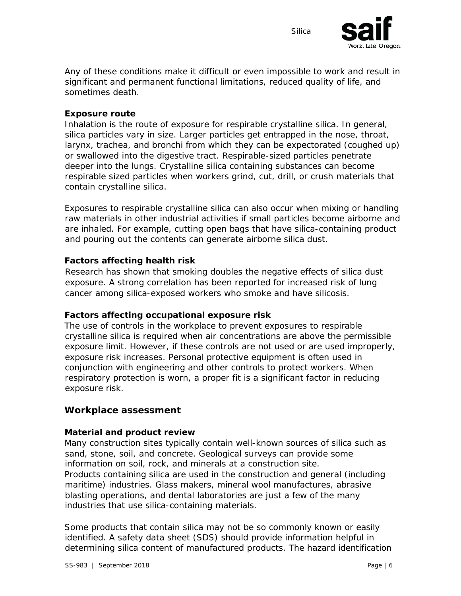

Any of these conditions make it difficult or even impossible to work and result in significant and permanent functional limitations, reduced quality of life, and sometimes death.

#### **Exposure route**

Inhalation is the route of exposure for respirable crystalline silica. In general, silica particles vary in size. Larger particles get entrapped in the nose, throat, larynx, trachea, and bronchi from which they can be expectorated (coughed up) or swallowed into the digestive tract. Respirable-sized particles penetrate deeper into the lungs. Crystalline silica containing substances can become respirable sized particles when workers grind, cut, drill, or crush materials that contain crystalline silica.

Exposures to respirable crystalline silica can also occur when mixing or handling raw materials in other industrial activities if small particles become airborne and are inhaled. For example, cutting open bags that have silica-containing product and pouring out the contents can generate airborne silica dust.

#### **Factors affecting health risk**

Research has shown that smoking doubles the negative effects of silica dust exposure. A strong correlation has been reported for increased risk of lung cancer among silica-exposed workers who smoke and have silicosis.

#### **Factors affecting occupational exposure risk**

The use of controls in the workplace to prevent exposures to respirable crystalline silica is required when air concentrations are above the permissible exposure limit. However, if these controls are not used or are used improperly, exposure risk increases. Personal protective equipment is often used in conjunction with engineering and other controls to protect workers. When respiratory protection is worn, a proper fit is a significant factor in reducing exposure risk.

#### <span id="page-5-0"></span>**Workplace assessment**

#### <span id="page-5-1"></span>*Material and product review*

Many construction sites typically contain well-known sources of silica such as sand, stone, soil, and concrete. Geological surveys can provide some information on soil, rock, and minerals at a construction site. Products containing silica are used in the construction and general (including maritime) industries. Glass makers, mineral wool manufactures, abrasive blasting operations, and dental laboratories are just a few of the many industries that use silica-containing materials.

Some products that contain silica may not be so commonly known or easily identified. A safety data sheet (SDS) should provide information helpful in determining silica content of manufactured products. The hazard identification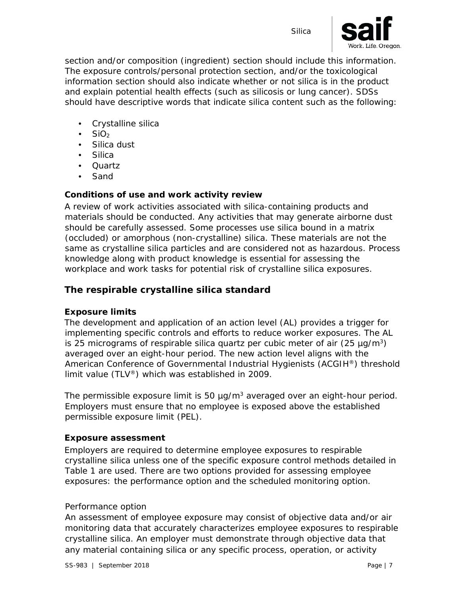

section and/or composition (ingredient) section should include this information. The exposure controls/personal protection section, and/or the toxicological information section should also indicate whether or not silica is in the product and explain potential health effects (such as silicosis or lung cancer). SDSs should have descriptive words that indicate silica content such as the following:

- Crystalline silica
- SiO<sub>2</sub>
- Silica dust
- Silica
- Quartz
- Sand

#### <span id="page-6-0"></span>*Conditions of use and work activity review*

A review of work activities associated with silica-containing products and materials should be conducted. Any activities that may generate airborne dust should be carefully assessed. Some processes use silica bound in a matrix (occluded) or amorphous (non-crystalline) silica. These materials are not the same as crystalline silica particles and are considered not as hazardous. Process knowledge along with product knowledge is essential for assessing the workplace and work tasks for potential risk of crystalline silica exposures.

#### <span id="page-6-1"></span>**The respirable crystalline silica standard**

#### <span id="page-6-2"></span>*Exposure limits*

The development and application of an action level (AL) provides a trigger for implementing specific controls and efforts to reduce worker exposures. The AL is 25 micrograms of respirable silica quartz per cubic meter of air  $(25 \mu g/m^3)$ averaged over an eight-hour period. The new action level aligns with the American Conference of Governmental Industrial Hygienists (ACGIH®) threshold limit value (TLV®) which was established in 2009.

The permissible exposure limit is 50  $\mu$ g/m<sup>3</sup> averaged over an eight-hour period. Employers must ensure that no employee is exposed above the established permissible exposure limit (PEL).

#### <span id="page-6-3"></span>*Exposure assessment*

Employers are required to determine employee exposures to respirable crystalline silica unless one of the specific exposure control methods detailed in Table 1 are used. There are two options provided for assessing employee exposures: the performance option and the scheduled monitoring option.

#### *Performance option*

An assessment of employee exposure may consist of objective data and/or air monitoring data that accurately characterizes employee exposures to respirable crystalline silica. An employer must demonstrate through objective data that any material containing silica or any specific process, operation, or activity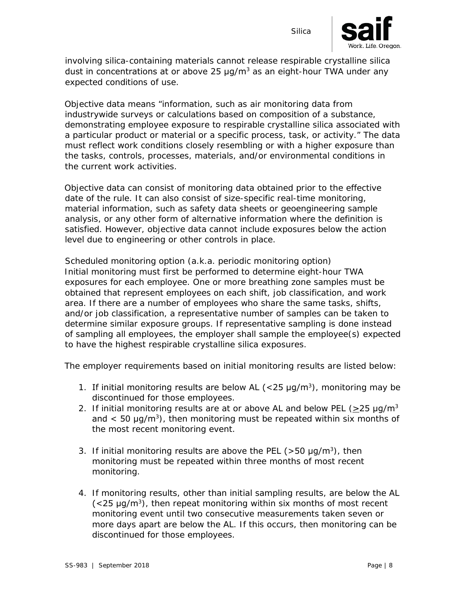

involving silica-containing materials cannot release respirable crystalline silica dust in concentrations at or above  $25 \mu q/m^3$  as an eight-hour TWA under any expected conditions of use.

Objective data means "information, such as air monitoring data from industrywide surveys or calculations based on composition of a substance, demonstrating employee exposure to respirable crystalline silica associated with a particular product or material or a specific process, task, or activity." The data must reflect work conditions closely resembling or with a higher exposure than the tasks, controls, processes, materials, and/or environmental conditions in the current work activities.

Objective data can consist of monitoring data obtained prior to the effective date of the rule. It can also consist of size-specific real-time monitoring, material information, such as safety data sheets or geoengineering sample analysis, or any other form of alternative information where the definition is satisfied. However, objective data cannot include exposures below the action level due to engineering or other controls in place.

#### *Scheduled monitoring option (a.k.a. periodic monitoring option)*

Initial monitoring must first be performed to determine eight-hour TWA exposures for each employee. One or more breathing zone samples must be obtained that represent employees on each shift, job classification, and work area. If there are a number of employees who share the same tasks, shifts, and/or job classification, a representative number of samples can be taken to determine similar exposure groups. If representative sampling is done instead of sampling all employees, the employer shall sample the employee(s) expected to have the highest respirable crystalline silica exposures.

The employer requirements based on initial monitoring results are listed below:

- 1. If initial monitoring results are below AL ( $<$ 25 µg/m<sup>3</sup>), monitoring may be discontinued for those employees.
- 2. If initial monitoring results are at or above AL and below PEL ( $>$ 25 µg/m<sup>3</sup>) and  $\leq$  50 µg/m<sup>3</sup>), then monitoring must be repeated within six months of the most recent monitoring event.
- 3. If initial monitoring results are above the PEL ( $>$ 50  $\mu$ g/m<sup>3</sup>), then monitoring must be repeated within three months of most recent monitoring.
- 4. If monitoring results, other than initial sampling results, are below the AL  $\left($  <25  $\mu$ g/m<sup>3</sup>), then repeat monitoring within six months of most recent monitoring event until two consecutive measurements taken seven or more days apart are below the AL. If this occurs, then monitoring can be discontinued for those employees.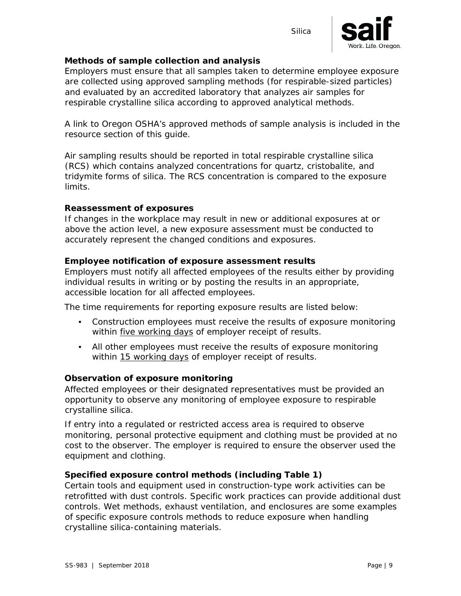

#### *Methods of sample collection and analysis*

Employers must ensure that all samples taken to determine employee exposure are *collected* using approved sampling methods (for respirable-sized particles) and *evaluated* by an accredited laboratory that analyzes air samples for respirable crystalline silica according to approved analytical methods.

A link to Oregon OSHA's approved methods of sample analysis is included in the resource section of this guide.

Air sampling results should be reported in total respirable crystalline silica (RCS) which contains analyzed concentrations for quartz, cristobalite, and tridymite forms of silica. The RCS concentration is compared to the exposure limits.

#### *Reassessment of exposures*

If changes in the workplace may result in new or additional exposures at or above the action level, a new exposure assessment must be conducted to accurately represent the changed conditions and exposures.

#### *Employee notification of exposure assessment results*

Employers must notify all affected employees of the results either by providing individual results in writing or by posting the results in an appropriate, accessible location for all affected employees.

The time requirements for reporting exposure results are listed below:

- Construction employees must receive the results of exposure monitoring within five working days of employer receipt of results.
- All other employees must receive the results of exposure monitoring within 15 working days of employer receipt of results.

#### *Observation of exposure monitoring*

Affected employees or their designated representatives must be provided an opportunity to observe any monitoring of employee exposure to respirable crystalline silica.

If entry into a regulated or restricted access area is required to observe monitoring, personal protective equipment and clothing must be provided at no cost to the observer. The employer is required to ensure the observer used the equipment and clothing.

#### <span id="page-8-0"></span>*Specified exposure control methods (including Table 1)*

Certain tools and equipment used in construction-type work activities can be retrofitted with dust controls. Specific work practices can provide additional dust controls. Wet methods, exhaust ventilation, and enclosures are some examples of specific exposure controls methods to reduce exposure when handling crystalline silica-containing materials.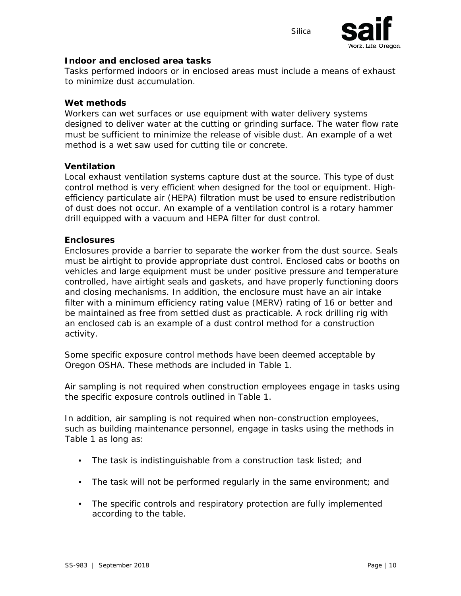

#### *Indoor and enclosed area tasks*

Tasks performed indoors or in enclosed areas must include a means of exhaust to minimize dust accumulation.

#### *Wet methods*

Workers can wet surfaces or use equipment with water delivery systems designed to deliver water at the cutting or grinding surface. The water flow rate must be sufficient to minimize the release of visible dust. An example of a wet method is a wet saw used for cutting tile or concrete.

#### *Ventilation*

Local exhaust ventilation systems capture dust at the source. This type of dust control method is very efficient when designed for the tool or equipment. Highefficiency particulate air (HEPA) filtration must be used to ensure redistribution of dust does not occur. An example of a ventilation control is a rotary hammer drill equipped with a vacuum and HEPA filter for dust control.

#### *Enclosures*

Enclosures provide a barrier to separate the worker from the dust source. Seals must be airtight to provide appropriate dust control. Enclosed cabs or booths on vehicles and large equipment must be under positive pressure and temperature controlled, have airtight seals and gaskets, and have properly functioning doors and closing mechanisms. In addition, the enclosure must have an air intake filter with a minimum efficiency rating value (MERV) rating of 16 or better and be maintained as free from settled dust as practicable. A rock drilling rig with an enclosed cab is an example of a dust control method for a construction activity.

Some specific exposure control methods have been deemed acceptable by Oregon OSHA. These methods are included in Table 1.

Air sampling is not required when construction employees engage in tasks using the specific exposure controls outlined in Table 1.

In addition, air sampling is not required when non-construction employees, such as building maintenance personnel, engage in tasks using the methods in Table 1 as long as:

- The task is indistinguishable from a construction task listed; and
- The task will not be performed regularly in the same environment; and
- The specific controls and respiratory protection are fully implemented according to the table.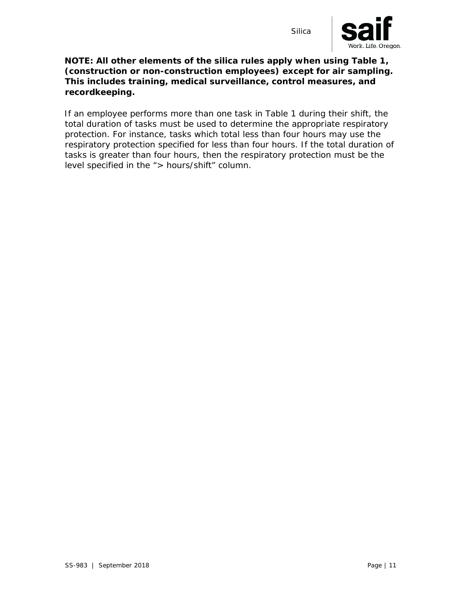

#### **NOTE: All other elements of the silica rules apply when using Table 1, (construction or non-construction employees) except for air sampling. This includes training, medical surveillance, control measures, and recordkeeping.**

If an employee performs more than one task in Table 1 during their shift, the total duration of tasks must be used to determine the appropriate respiratory protection. For instance, tasks which total less than four hours may use the respiratory protection specified for less than four hours. If the total duration of tasks is greater than four hours, then the respiratory protection must be the level specified in the "> hours/shift" column.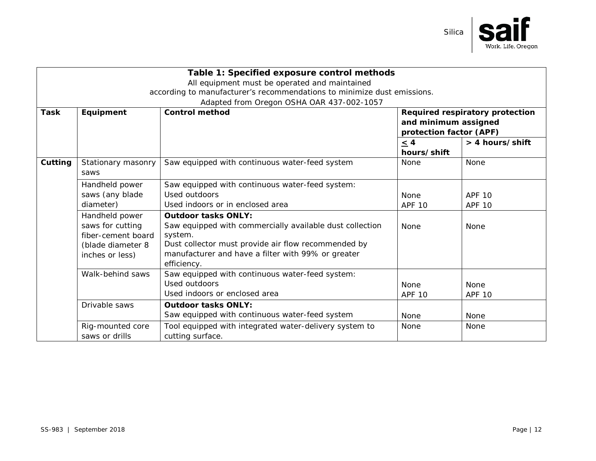

| Table 1: Specified exposure control methods                             |                            |                                                          |                                                                                    |                 |  |
|-------------------------------------------------------------------------|----------------------------|----------------------------------------------------------|------------------------------------------------------------------------------------|-----------------|--|
| All equipment must be operated and maintained                           |                            |                                                          |                                                                                    |                 |  |
| according to manufacturer's recommendations to minimize dust emissions. |                            |                                                          |                                                                                    |                 |  |
|                                                                         |                            | Adapted from Oregon OSHA OAR 437-002-1057                |                                                                                    |                 |  |
| <b>Task</b>                                                             | Equipment                  | <b>Control method</b>                                    | Required respiratory protection<br>and minimum assigned<br>protection factor (APF) |                 |  |
|                                                                         |                            |                                                          | $\leq$ 4                                                                           | > 4 hours/shift |  |
|                                                                         |                            |                                                          | hours/shift                                                                        |                 |  |
| Cutting                                                                 | Stationary masonry<br>saws | Saw equipped with continuous water-feed system           | <b>None</b>                                                                        | <b>None</b>     |  |
|                                                                         | Handheld power             | Saw equipped with continuous water-feed system:          |                                                                                    |                 |  |
|                                                                         | saws (any blade            | Used outdoors                                            | <b>None</b>                                                                        | <b>APF 10</b>   |  |
| diameter)<br>Handheld power<br><b>Outdoor tasks ONLY:</b>               |                            | Used indoors or in enclosed area                         | <b>APF 10</b>                                                                      | <b>APF 10</b>   |  |
|                                                                         |                            |                                                          |                                                                                    |                 |  |
|                                                                         | saws for cutting           | Saw equipped with commercially available dust collection | None                                                                               | <b>None</b>     |  |
|                                                                         | fiber-cement board         | system.                                                  |                                                                                    |                 |  |
| (blade diameter 8<br>inches or less)                                    |                            | Dust collector must provide air flow recommended by      |                                                                                    |                 |  |
|                                                                         |                            | manufacturer and have a filter with 99% or greater       |                                                                                    |                 |  |
|                                                                         |                            | efficiency.                                              |                                                                                    |                 |  |
|                                                                         | Walk-behind saws           | Saw equipped with continuous water-feed system:          |                                                                                    |                 |  |
|                                                                         |                            | Used outdoors                                            | <b>None</b>                                                                        | None            |  |
|                                                                         |                            | Used indoors or enclosed area                            | <b>APF 10</b>                                                                      | <b>APF 10</b>   |  |
|                                                                         | Drivable saws              | <b>Outdoor tasks ONLY:</b>                               |                                                                                    |                 |  |
|                                                                         |                            | Saw equipped with continuous water-feed system           | None                                                                               | <b>None</b>     |  |
|                                                                         | Rig-mounted core           | Tool equipped with integrated water-delivery system to   | None                                                                               | None            |  |
|                                                                         | saws or drills             | cutting surface.                                         |                                                                                    |                 |  |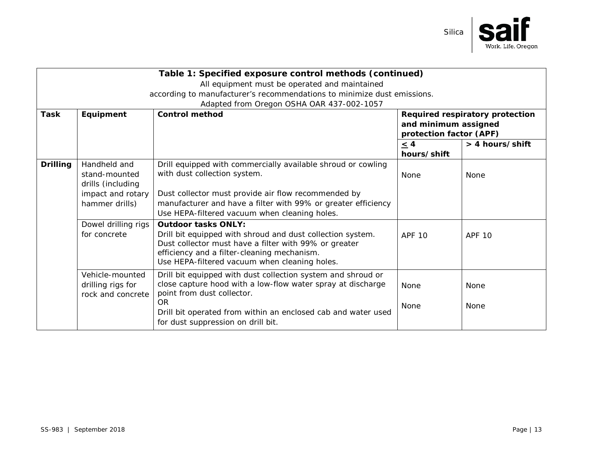

| Table 1: Specified exposure control methods (continued)                                            |                                                                         |                                                               |                         |                                 |  |  |
|----------------------------------------------------------------------------------------------------|-------------------------------------------------------------------------|---------------------------------------------------------------|-------------------------|---------------------------------|--|--|
| All equipment must be operated and maintained                                                      |                                                                         |                                                               |                         |                                 |  |  |
|                                                                                                    | according to manufacturer's recommendations to minimize dust emissions. |                                                               |                         |                                 |  |  |
|                                                                                                    |                                                                         | Adapted from Oregon OSHA OAR 437-002-1057                     |                         |                                 |  |  |
| <b>Task</b>                                                                                        | Equipment                                                               | <b>Control method</b>                                         |                         | Required respiratory protection |  |  |
|                                                                                                    | and minimum assigned                                                    |                                                               |                         |                                 |  |  |
|                                                                                                    |                                                                         |                                                               | protection factor (APF) |                                 |  |  |
|                                                                                                    |                                                                         |                                                               | $\leq$ 4                | > 4 hours/shift                 |  |  |
|                                                                                                    |                                                                         |                                                               | hours/shift             |                                 |  |  |
| <b>Drilling</b>                                                                                    | Handheld and                                                            | Drill equipped with commercially available shroud or cowling  |                         |                                 |  |  |
|                                                                                                    | stand-mounted                                                           | with dust collection system.                                  | None                    | None                            |  |  |
|                                                                                                    | drills (including                                                       |                                                               |                         |                                 |  |  |
|                                                                                                    | impact and rotary                                                       | Dust collector must provide air flow recommended by           |                         |                                 |  |  |
|                                                                                                    | hammer drills)                                                          | manufacturer and have a filter with 99% or greater efficiency |                         |                                 |  |  |
| Use HEPA-filtered vacuum when cleaning holes.<br>Dowel drilling rigs<br><b>Outdoor tasks ONLY:</b> |                                                                         |                                                               |                         |                                 |  |  |
|                                                                                                    |                                                                         |                                                               |                         |                                 |  |  |
|                                                                                                    | for concrete                                                            | Drill bit equipped with shroud and dust collection system.    | <b>APF 10</b>           | <b>APF 10</b>                   |  |  |
|                                                                                                    |                                                                         | Dust collector must have a filter with 99% or greater         |                         |                                 |  |  |
|                                                                                                    |                                                                         | efficiency and a filter-cleaning mechanism.                   |                         |                                 |  |  |
|                                                                                                    |                                                                         | Use HEPA-filtered vacuum when cleaning holes.                 |                         |                                 |  |  |
|                                                                                                    | Vehicle-mounted                                                         | Drill bit equipped with dust collection system and shroud or  |                         |                                 |  |  |
|                                                                                                    | drilling rigs for                                                       | close capture hood with a low-flow water spray at discharge   | <b>None</b>             | None                            |  |  |
|                                                                                                    | rock and concrete                                                       | point from dust collector.                                    |                         |                                 |  |  |
|                                                                                                    |                                                                         | <b>OR</b>                                                     | None                    | None                            |  |  |
|                                                                                                    |                                                                         | Drill bit operated from within an enclosed cab and water used |                         |                                 |  |  |
|                                                                                                    |                                                                         | for dust suppression on drill bit.                            |                         |                                 |  |  |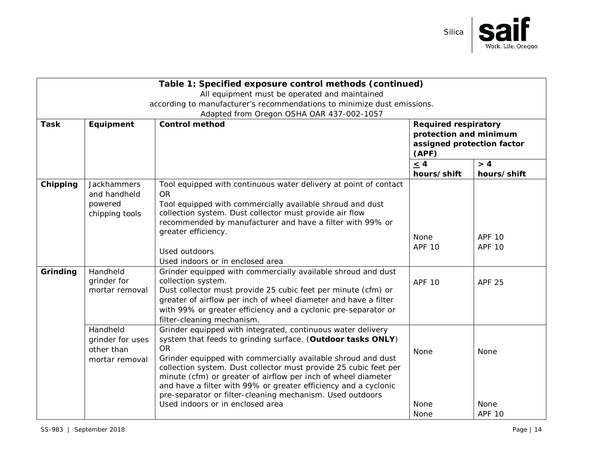

|             |                  | Table 1: Specified exposure control methods (continued)                                                                          |                             |                                                               |  |
|-------------|------------------|----------------------------------------------------------------------------------------------------------------------------------|-----------------------------|---------------------------------------------------------------|--|
|             |                  | All equipment must be operated and maintained                                                                                    |                             |                                                               |  |
|             |                  | according to manufacturer's recommendations to minimize dust emissions.                                                          |                             |                                                               |  |
|             |                  | Adapted from Oregon OSHA OAR 437-002-1057                                                                                        |                             |                                                               |  |
| <b>Task</b> | Equipment        | <b>Control method</b>                                                                                                            | <b>Required respiratory</b> |                                                               |  |
|             |                  |                                                                                                                                  |                             | protection and minimum<br>assigned protection factor<br>(APF) |  |
|             |                  |                                                                                                                                  |                             |                                                               |  |
|             |                  |                                                                                                                                  | $\leq 4$                    | > 4                                                           |  |
|             |                  |                                                                                                                                  | hours/shift                 | hours/shift                                                   |  |
| Chipping    | Jackhammers      | Tool equipped with continuous water delivery at point of contact                                                                 |                             |                                                               |  |
|             | and handheld     | <b>OR</b>                                                                                                                        |                             |                                                               |  |
|             | powered          | Tool equipped with commercially available shroud and dust                                                                        |                             |                                                               |  |
|             | chipping tools   | collection system. Dust collector must provide air flow                                                                          |                             |                                                               |  |
|             |                  | recommended by manufacturer and have a filter with 99% or                                                                        |                             |                                                               |  |
|             |                  | greater efficiency.                                                                                                              | None                        | <b>APF 10</b>                                                 |  |
|             |                  |                                                                                                                                  | <b>APF 10</b>               | <b>APF 10</b>                                                 |  |
|             |                  | Used outdoors<br>Used indoors or in enclosed area                                                                                |                             |                                                               |  |
| Grinding    | Handheld         | Grinder equipped with commercially available shroud and dust                                                                     |                             |                                                               |  |
|             | grinder for      | collection system.                                                                                                               | <b>APF 10</b>               | <b>APF 25</b>                                                 |  |
|             | mortar removal   | Dust collector must provide 25 cubic feet per minute (cfm) or                                                                    |                             |                                                               |  |
|             |                  | greater of airflow per inch of wheel diameter and have a filter                                                                  |                             |                                                               |  |
|             |                  | with 99% or greater efficiency and a cyclonic pre-separator or                                                                   |                             |                                                               |  |
|             |                  | filter-cleaning mechanism.                                                                                                       |                             |                                                               |  |
|             | Handheld         | Grinder equipped with integrated, continuous water delivery                                                                      |                             |                                                               |  |
|             | grinder for uses | system that feeds to grinding surface. (Outdoor tasks ONLY)                                                                      |                             |                                                               |  |
|             | other than       | <b>OR</b>                                                                                                                        | None                        | None                                                          |  |
|             | mortar removal   | Grinder equipped with commercially available shroud and dust<br>collection system. Dust collector must provide 25 cubic feet per |                             |                                                               |  |
|             |                  | minute (cfm) or greater of airflow per inch of wheel diameter                                                                    |                             |                                                               |  |
|             |                  | and have a filter with 99% or greater efficiency and a cyclonic                                                                  |                             |                                                               |  |
|             |                  | pre-separator or filter-cleaning mechanism. Used outdoors                                                                        |                             |                                                               |  |
|             |                  | Used indoors or in enclosed area                                                                                                 | None                        | <b>None</b>                                                   |  |
|             |                  |                                                                                                                                  | None                        | <b>APF 10</b>                                                 |  |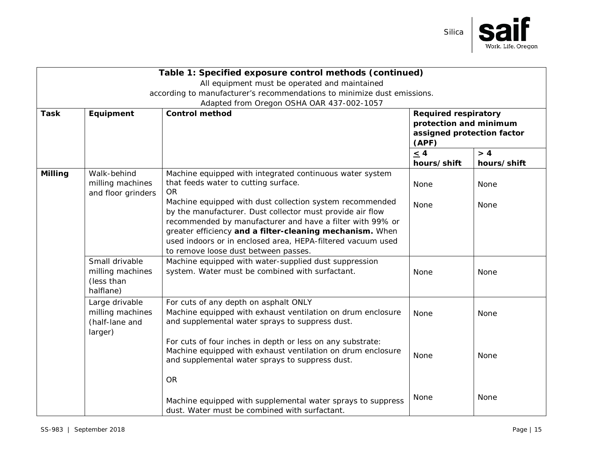

| Table 1: Specified exposure control methods (continued) |                                                                         |                                                                                                                       |                                                      |             |  |
|---------------------------------------------------------|-------------------------------------------------------------------------|-----------------------------------------------------------------------------------------------------------------------|------------------------------------------------------|-------------|--|
| All equipment must be operated and maintained           |                                                                         |                                                                                                                       |                                                      |             |  |
|                                                         | according to manufacturer's recommendations to minimize dust emissions. |                                                                                                                       |                                                      |             |  |
|                                                         |                                                                         | Adapted from Oregon OSHA OAR 437-002-1057                                                                             |                                                      |             |  |
| <b>Task</b>                                             | Equipment                                                               | <b>Control method</b><br><b>Required respiratory</b>                                                                  |                                                      |             |  |
|                                                         |                                                                         |                                                                                                                       | protection and minimum<br>assigned protection factor |             |  |
|                                                         |                                                                         |                                                                                                                       | (APF)                                                |             |  |
|                                                         |                                                                         |                                                                                                                       | $\leq$ 4                                             | > 4         |  |
|                                                         |                                                                         |                                                                                                                       | hours/shift                                          | hours/shift |  |
| Milling                                                 | Walk-behind                                                             | Machine equipped with integrated continuous water system                                                              |                                                      |             |  |
|                                                         | milling machines                                                        | that feeds water to cutting surface.                                                                                  | None                                                 | None        |  |
|                                                         | and floor grinders                                                      | <b>OR</b>                                                                                                             |                                                      |             |  |
|                                                         |                                                                         | Machine equipped with dust collection system recommended<br>by the manufacturer. Dust collector must provide air flow | None                                                 | None        |  |
|                                                         |                                                                         | recommended by manufacturer and have a filter with 99% or                                                             |                                                      |             |  |
|                                                         |                                                                         | greater efficiency and a filter-cleaning mechanism. When                                                              |                                                      |             |  |
|                                                         |                                                                         | used indoors or in enclosed area, HEPA-filtered vacuum used                                                           |                                                      |             |  |
|                                                         |                                                                         | to remove loose dust between passes.                                                                                  |                                                      |             |  |
|                                                         | Small drivable                                                          | Machine equipped with water-supplied dust suppression                                                                 |                                                      |             |  |
|                                                         | milling machines                                                        | system. Water must be combined with surfactant.                                                                       | None                                                 | None        |  |
|                                                         | (less than                                                              |                                                                                                                       |                                                      |             |  |
|                                                         | halflane)                                                               |                                                                                                                       |                                                      |             |  |
|                                                         | Large drivable                                                          | For cuts of any depth on asphalt ONLY                                                                                 |                                                      |             |  |
|                                                         | milling machines                                                        | Machine equipped with exhaust ventilation on drum enclosure                                                           | None                                                 | <b>None</b> |  |
|                                                         | (half-lane and                                                          | and supplemental water sprays to suppress dust.                                                                       |                                                      |             |  |
|                                                         | larger)                                                                 | For cuts of four inches in depth or less on any substrate:                                                            |                                                      |             |  |
|                                                         |                                                                         | Machine equipped with exhaust ventilation on drum enclosure                                                           |                                                      |             |  |
|                                                         |                                                                         | and supplemental water sprays to suppress dust.                                                                       | None                                                 | None        |  |
|                                                         |                                                                         |                                                                                                                       |                                                      |             |  |
|                                                         |                                                                         | <b>OR</b>                                                                                                             |                                                      |             |  |
|                                                         |                                                                         |                                                                                                                       |                                                      |             |  |
|                                                         |                                                                         | Machine equipped with supplemental water sprays to suppress                                                           | None                                                 | None        |  |
|                                                         |                                                                         | dust. Water must be combined with surfactant.                                                                         |                                                      |             |  |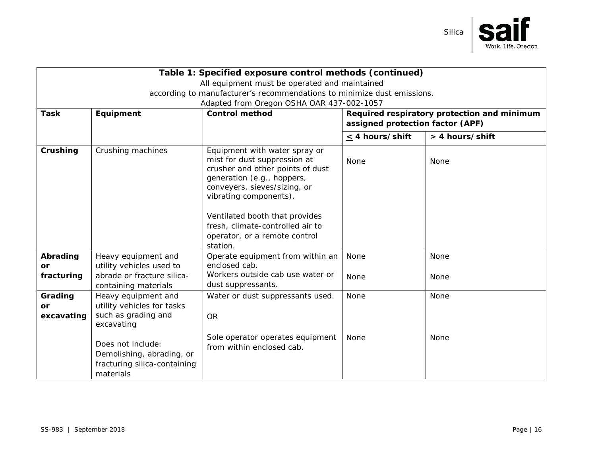

| Table 1: Specified exposure control methods (continued)                 |                                                                                             |                                                                                                                                                                                                                                                                                                              |                                                                                 |                 |  |
|-------------------------------------------------------------------------|---------------------------------------------------------------------------------------------|--------------------------------------------------------------------------------------------------------------------------------------------------------------------------------------------------------------------------------------------------------------------------------------------------------------|---------------------------------------------------------------------------------|-----------------|--|
| All equipment must be operated and maintained                           |                                                                                             |                                                                                                                                                                                                                                                                                                              |                                                                                 |                 |  |
| according to manufacturer's recommendations to minimize dust emissions. |                                                                                             |                                                                                                                                                                                                                                                                                                              |                                                                                 |                 |  |
|                                                                         |                                                                                             | Adapted from Oregon OSHA OAR 437-002-1057                                                                                                                                                                                                                                                                    |                                                                                 |                 |  |
| <b>Task</b>                                                             | Equipment                                                                                   | <b>Control method</b>                                                                                                                                                                                                                                                                                        | Required respiratory protection and minimum<br>assigned protection factor (APF) |                 |  |
|                                                                         |                                                                                             |                                                                                                                                                                                                                                                                                                              | $\leq$ 4 hours/shift                                                            | > 4 hours/shift |  |
| Crushing                                                                | Crushing machines                                                                           | Equipment with water spray or<br>mist for dust suppression at<br>crusher and other points of dust<br>generation (e.g., hoppers,<br>conveyers, sieves/sizing, or<br>vibrating components).<br>Ventilated booth that provides<br>fresh, climate-controlled air to<br>operator, or a remote control<br>station. | None                                                                            | None            |  |
| Abrading<br>or                                                          | Heavy equipment and<br>utility vehicles used to                                             | Operate equipment from within an<br>enclosed cab.                                                                                                                                                                                                                                                            | None                                                                            | None            |  |
| fracturing                                                              | abrade or fracture silica-<br>containing materials                                          | Workers outside cab use water or<br>dust suppressants.                                                                                                                                                                                                                                                       | None                                                                            | <b>None</b>     |  |
| Grading<br><b>or</b><br>excavating                                      | Heavy equipment and<br>utility vehicles for tasks<br>such as grading and<br>excavating      | Water or dust suppressants used.<br><b>OR</b>                                                                                                                                                                                                                                                                | None                                                                            | None            |  |
|                                                                         | Does not include:<br>Demolishing, abrading, or<br>fracturing silica-containing<br>materials | Sole operator operates equipment<br>from within enclosed cab.                                                                                                                                                                                                                                                | None                                                                            | None            |  |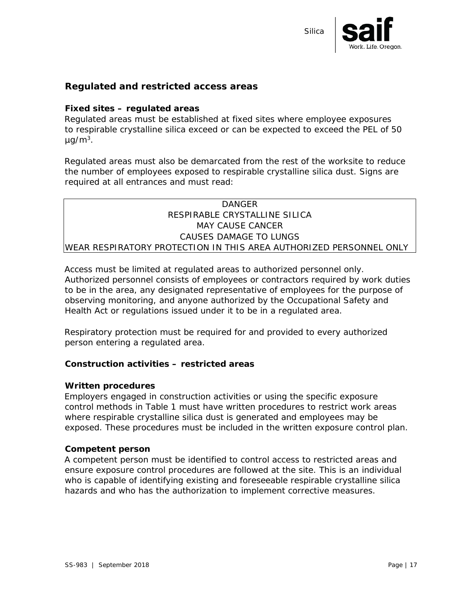

#### <span id="page-16-0"></span>**Regulated and restricted access areas**

#### **Fixed sites – regulated areas**

Regulated areas must be established at fixed sites where employee exposures to respirable crystalline silica exceed or can be expected to exceed the PEL of 50  $\mu$ g/m<sup>3</sup>.

Regulated areas must also be demarcated from the rest of the worksite to reduce the number of employees exposed to respirable crystalline silica dust. Signs are required at all entrances and must read:

#### **DANGER** RESPIRABLE CRYSTALLINE SILICA MAY CAUSE CANCER CAUSES DAMAGE TO LUNGS WEAR RESPIRATORY PROTECTION IN THIS AREA AUTHORIZED PERSONNEL ONLY

Access must be limited at regulated areas to authorized personnel only. Authorized personnel consists of employees or contractors required by work duties to be in the area, any designated representative of employees for the purpose of observing monitoring, and anyone authorized by the Occupational Safety and Health Act or regulations issued under it to be in a regulated area.

Respiratory protection must be required for and provided to every authorized person entering a regulated area.

#### **Construction activities – restricted areas**

#### *Written procedures*

Employers engaged in construction activities or using the specific exposure control methods in Table 1 must have written procedures to restrict work areas where respirable crystalline silica dust is generated and employees may be exposed. These procedures must be included in the written exposure control plan.

#### *Competent person*

A competent person must be identified to control access to restricted areas and ensure exposure control procedures are followed at the site. This is an individual who is capable of identifying existing and foreseeable respirable crystalline silica hazards and who has the authorization to implement corrective measures.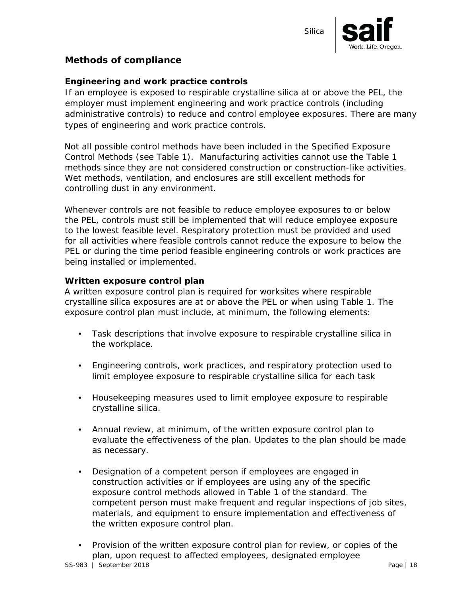

#### <span id="page-17-1"></span><span id="page-17-0"></span>**Methods of compliance**

#### **Engineering and work practice controls**

If an employee is exposed to respirable crystalline silica at or above the PEL, the employer must implement engineering and work practice controls (including administrative controls) to reduce and control employee exposures. There are many types of engineering and work practice controls.

Not all possible control methods have been included in the Specified Exposure Control Methods (see Table 1). Manufacturing activities cannot use the Table 1 methods since they are not considered construction or construction-like activities. Wet methods, ventilation, and enclosures are still excellent methods for controlling dust in any environment.

Whenever controls are not feasible to reduce employee exposures to or below the PEL, controls must still be implemented that will reduce employee exposure to the lowest feasible level. Respiratory protection must be provided and used for all activities where feasible controls cannot reduce the exposure to below the PEL or during the time period feasible engineering controls or work practices are being installed or implemented.

#### <span id="page-17-2"></span>**Written exposure control plan**

A written exposure control plan is required for worksites where respirable crystalline silica exposures are at or above the PEL or when using Table 1. The exposure control plan must include, at minimum, the following elements:

- Task descriptions that involve exposure to respirable crystalline silica in the workplace.
- Engineering controls, work practices, and respiratory protection used to limit employee exposure to respirable crystalline silica for each task
- Housekeeping measures used to limit employee exposure to respirable crystalline silica.
- Annual review, at minimum, of the written exposure control plan to evaluate the effectiveness of the plan. Updates to the plan should be made as necessary.
- Designation of a competent person if employees are engaged in construction activities or if employees are using any of the specific exposure control methods allowed in Table 1 of the standard. The competent person must make frequent and regular inspections of job sites, materials, and equipment to ensure implementation and effectiveness of the written exposure control plan.
- Provision of the written exposure control plan for review, or copies of the plan, upon request to affected employees, designated employee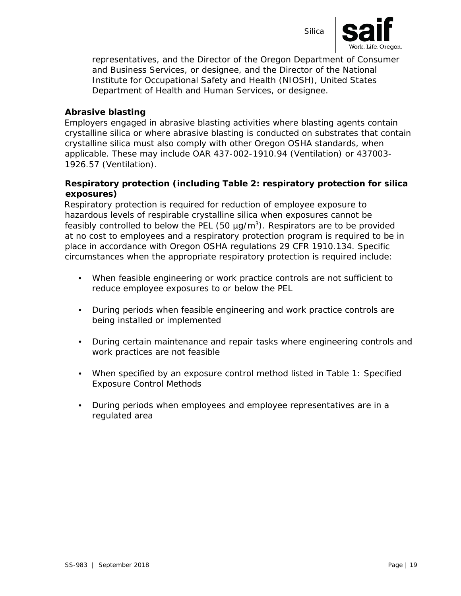



representatives, and the Director of the Oregon Department of Consumer and Business Services, or designee, and the Director of the National Institute for Occupational Safety and Health (NIOSH), United States Department of Health and Human Services, or designee.

#### **Abrasive blasting**

Employers engaged in abrasive blasting activities where blasting agents contain crystalline silica or where abrasive blasting is conducted on substrates that contain crystalline silica must also comply with other Oregon OSHA standards, when applicable. These may include OAR 437-002-1910.94 (Ventilation) or 437003- 1926.57 (Ventilation).

#### <span id="page-18-0"></span>**Respiratory protection (including Table 2: respiratory protection for silica exposures)**

Respiratory protection is required for reduction of employee exposure to hazardous levels of respirable crystalline silica when exposures cannot be feasibly controlled to below the PEL (50  $\mu$ g/m<sup>3</sup>). Respirators are to be provided at no cost to employees and a respiratory protection program is required to be in place in accordance with Oregon OSHA regulations 29 CFR 1910.134. Specific circumstances when the appropriate respiratory protection is required include:

- When feasible engineering or work practice controls are not sufficient to reduce employee exposures to or below the PEL
- During periods when feasible engineering and work practice controls are being installed or implemented
- During certain maintenance and repair tasks where engineering controls and work practices are not feasible
- When specified by an exposure control method listed in Table 1: Specified Exposure Control Methods
- During periods when employees and employee representatives are in a regulated area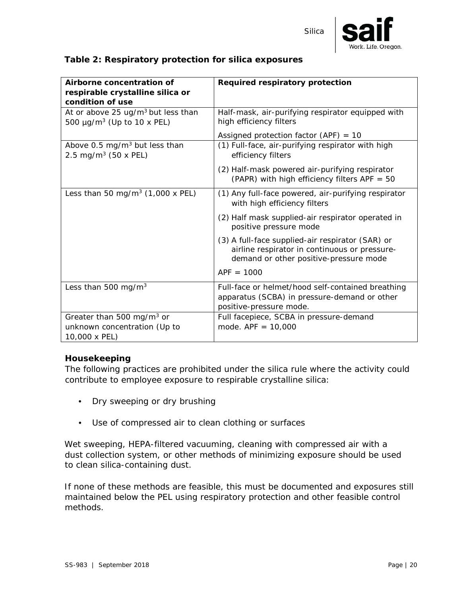

#### <span id="page-19-0"></span>**Table 2: Respiratory protection for silica exposures**

| Airborne concentration of<br>respirable crystalline silica or                                 | Required respiratory protection                                                                                                             |  |  |
|-----------------------------------------------------------------------------------------------|---------------------------------------------------------------------------------------------------------------------------------------------|--|--|
| condition of use                                                                              |                                                                                                                                             |  |  |
| At or above 25 $\mu$ g/m <sup>3</sup> but less than<br>500 µg/m <sup>3</sup> (Up to 10 x PEL) | Half-mask, air-purifying respirator equipped with<br>high efficiency filters                                                                |  |  |
|                                                                                               | Assigned protection factor (APF) = $10$                                                                                                     |  |  |
| Above 0.5 mg/m <sup>3</sup> but less than<br>2.5 mg/m <sup>3</sup> (50 x PEL)                 | (1) Full-face, air-purifying respirator with high<br>efficiency filters                                                                     |  |  |
|                                                                                               | (2) Half-mask powered air-purifying respirator<br>(PAPR) with high efficiency filters APF = 50                                              |  |  |
| Less than 50 mg/m <sup>3</sup> $(1,000 \times PEL)$                                           | (1) Any full-face powered, air-purifying respirator<br>with high efficiency filters                                                         |  |  |
|                                                                                               | (2) Half mask supplied-air respirator operated in<br>positive pressure mode                                                                 |  |  |
|                                                                                               | (3) A full-face supplied-air respirator (SAR) or<br>airline respirator in continuous or pressure-<br>demand or other positive-pressure mode |  |  |
|                                                                                               | $APF = 1000$                                                                                                                                |  |  |
| Less than 500 mg/m <sup>3</sup>                                                               | Full-face or helmet/hood self-contained breathing<br>apparatus (SCBA) in pressure-demand or other<br>positive-pressure mode.                |  |  |
| Greater than 500 mg/m <sup>3</sup> or<br>unknown concentration (Up to<br>10,000 x PEL)        | Full facepiece, SCBA in pressure-demand<br>mode. $APF = 10,000$                                                                             |  |  |

#### <span id="page-19-1"></span>**Housekeeping**

The following practices are prohibited under the silica rule where the activity could contribute to employee exposure to respirable crystalline silica:

- Dry sweeping or dry brushing
- Use of compressed air to clean clothing or surfaces

Wet sweeping, HEPA-filtered vacuuming, cleaning with compressed air with a dust collection system, or other methods of minimizing exposure should be used to clean silica-containing dust.

If none of these methods are feasible, this must be documented and exposures still maintained below the PEL using respiratory protection and other feasible control methods.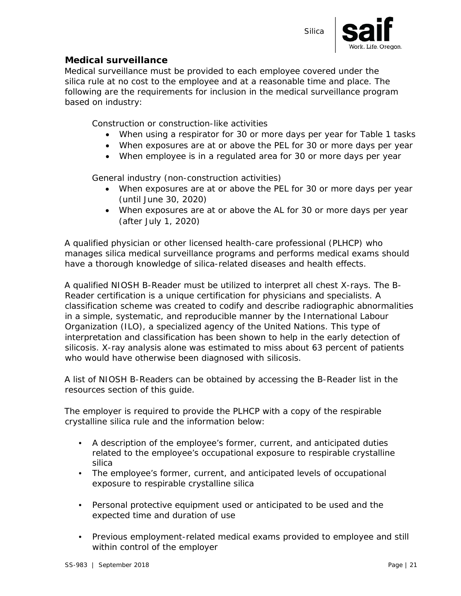

#### <span id="page-20-0"></span>**Medical surveillance**

Medical surveillance must be provided to each employee covered under the silica rule at no cost to the employee and at a reasonable time and place. The following are the requirements for inclusion in the medical surveillance program based on industry:

Construction or construction-like activities

- When using a respirator for 30 or more days per year for Table 1 tasks
- When exposures are at or above the PEL for 30 or more days per year
- When employee is in a regulated area for 30 or more days per year

General industry (non-construction activities)

- When exposures are at or above the PEL for 30 or more days per year (until June 30, 2020)
- When exposures are at or above the AL for 30 or more days per year (after July 1, 2020)

A qualified physician or other licensed health-care professional (PLHCP) who manages silica medical surveillance programs and performs medical exams should have a thorough knowledge of silica-related diseases and health effects.

A qualified NIOSH B-Reader must be utilized to interpret all chest X-rays. The B-Reader certification is a unique certification for physicians and specialists. A classification scheme was created to codify and describe radiographic abnormalities in a simple, systematic, and reproducible manner by the International Labour Organization (ILO), a specialized agency of the United Nations. This type of interpretation and classification has been shown to help in the early detection of silicosis. X-ray analysis alone was estimated to miss about 63 percent of patients who would have otherwise been diagnosed with silicosis.

A list of NIOSH B-Readers can be obtained by accessing the B-Reader list in the resources section of this guide.

The employer is required to provide the PLHCP with a copy of the respirable crystalline silica rule and the information below:

- A description of the employee's former, current, and anticipated duties related to the employee's occupational exposure to respirable crystalline silica
- The employee's former, current, and anticipated levels of occupational exposure to respirable crystalline silica
- Personal protective equipment used or anticipated to be used and the expected time and duration of use
- Previous employment-related medical exams provided to employee and still within control of the employer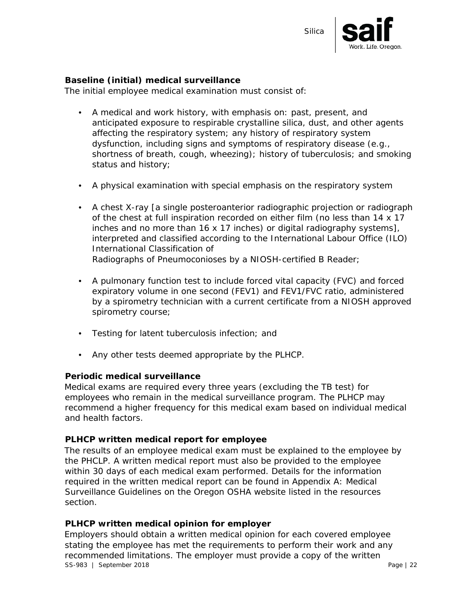



#### **Baseline (initial) medical surveillance**

The initial employee medical examination must consist of:

- A medical and work history, with emphasis on: past, present, and anticipated exposure to respirable crystalline silica, dust, and other agents affecting the respiratory system; any history of respiratory system dysfunction, including signs and symptoms of respiratory disease (e.g., shortness of breath, cough, wheezing); history of tuberculosis; and smoking status and history;
- A physical examination with special emphasis on the respiratory system
- A chest X-ray [a single posteroanterior radiographic projection or radiograph of the chest at full inspiration recorded on either film (no less than 14 x 17 inches and no more than 16 x 17 inches) or digital radiography systems], interpreted and classified according to the International Labour Office (ILO) International Classification of Radiographs of Pneumoconioses by a NIOSH-certified B Reader;
- A pulmonary function test to include forced vital capacity (FVC) and forced expiratory volume in one second (FEV1) and FEV1/FVC ratio, administered by a spirometry technician with a current certificate from a NIOSH approved spirometry course;
- Testing for latent tuberculosis infection; and
- Any other tests deemed appropriate by the PLHCP.

#### **Periodic medical surveillance**

Medical exams are required every three years (excluding the TB test) for employees who remain in the medical surveillance program. The PLHCP may recommend a higher frequency for this medical exam based on individual medical and health factors.

#### **PLHCP written medical report for employee**

The results of an employee medical exam must be explained to the employee by the PHCLP. A written medical report must also be provided to the employee within 30 days of each medical exam performed. Details for the information required in the written medical report can be found in Appendix A: Medical Surveillance Guidelines on the Oregon OSHA website listed in the resources section.

#### **PLHCP written medical opinion for employer**

SS-983 | September 2018 Page | 22 Employers should obtain a written medical opinion for each covered employee stating the employee has met the requirements to perform their work and any recommended limitations. The employer must provide a copy of the written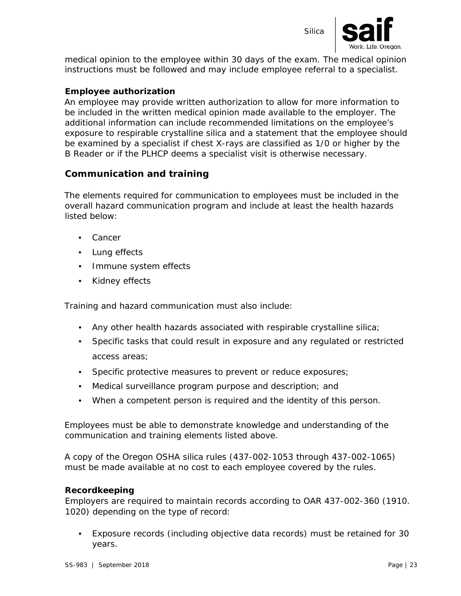



medical opinion to the employee within 30 days of the exam. The medical opinion instructions must be followed and may include employee referral to a specialist.

#### **Employee authorization**

An employee may provide written authorization to allow for more information to be included in the written medical opinion made available to the employer. The additional information can include recommended limitations on the employee's exposure to respirable crystalline silica and a statement that the employee should be examined by a specialist if chest X-rays are classified as 1/0 or higher by the B Reader or if the PLHCP deems a specialist visit is otherwise necessary.

#### <span id="page-22-0"></span>**Communication and training**

The elements required for communication to employees must be included in the overall hazard communication program and include at least the health hazards listed below:

- Cancer
- Lung effects
- Immune system effects
- Kidney effects

Training and hazard communication must also include:

- Any other health hazards associated with respirable crystalline silica;
- Specific tasks that could result in exposure and any regulated or restricted access areas;
- Specific protective measures to prevent or reduce exposures;
- Medical surveillance program purpose and description; and
- When a competent person is required and the identity of this person.

Employees must be able to demonstrate knowledge and understanding of the communication and training elements listed above.

A copy of the Oregon OSHA silica rules (437-002-1053 through 437-002-1065) must be made available at no cost to each employee covered by the rules.

#### <span id="page-22-1"></span>**Recordkeeping**

Employers are required to maintain records according to OAR 437-002-360 (1910. 1020) depending on the type of record:

• Exposure records (including objective data records) must be retained for 30 years.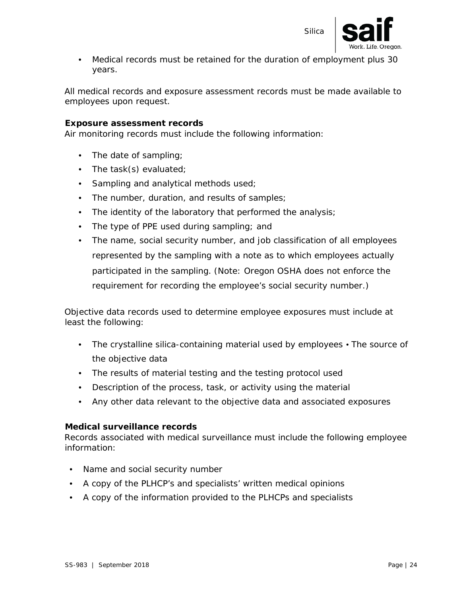

• Medical records must be retained for the duration of employment plus 30 years.

All medical records and exposure assessment records must be made available to employees upon request.

#### **Exposure assessment records**

Air monitoring records must include the following information:

- The date of sampling;
- The task(s) evaluated;
- Sampling and analytical methods used;
- The number, duration, and results of samples;
- The identity of the laboratory that performed the analysis;
- The type of PPE used during sampling; and
- The name, social security number, and job classification of all employees represented by the sampling with a note as to which employees actually participated in the sampling. (Note: Oregon OSHA does not enforce the requirement for recording the employee's social security number.)

Objective data records used to determine employee exposures must include at least the following:

- The crystalline silica-containing material used by employees The source of the objective data
- The results of material testing and the testing protocol used
- Description of the process, task, or activity using the material
- Any other data relevant to the objective data and associated exposures

#### **Medical surveillance records**

Records associated with medical surveillance must include the following employee information:

- Name and social security number
- A copy of the PLHCP's and specialists' written medical opinions
- A copy of the information provided to the PLHCPs and specialists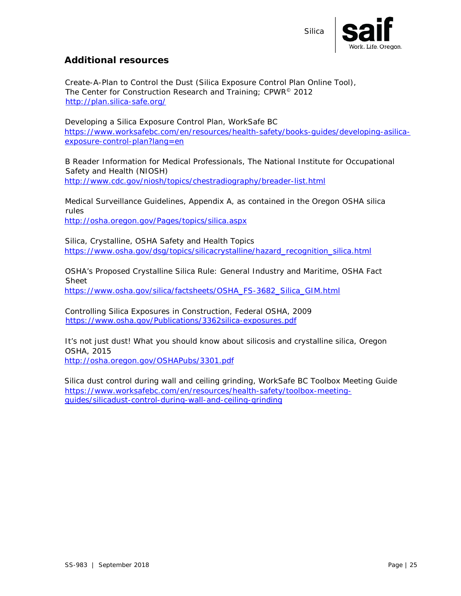

#### <span id="page-24-0"></span>**Additional resources**

Create-A-Plan to Control the Dust (Silica Exposure Control Plan Online Tool), The Center for Construction Research and Training; CPWR<sup>©</sup> 2012 <http://plan.silica-safe.org/>

Developing a Silica Exposure Control Plan, WorkSafe BC [https://www.worksafebc.com/en/resources/health-safety/books-guides/developing-asilica](https://www.worksafebc.com/en/resources/health-safety/books-guides/developing-a-silica-exposure-control-plan?lang=en)[exposure-control-plan?lang=en](https://www.worksafebc.com/en/resources/health-safety/books-guides/developing-a-silica-exposure-control-plan?lang=en)

B Reader Information for Medical Professionals, The National Institute for Occupational Safety and Health (NIOSH) <http://www.cdc.gov/niosh/topics/chestradiography/breader-list.html>

Medical Surveillance Guidelines, Appendix A, as contained in the Oregon OSHA silica rules <http://osha.oregon.gov/Pages/topics/silica.aspx>

Silica, Crystalline, OSHA Safety and Health Topics [https://www.osha.gov/dsg/topics/silicacrystalline/hazard\\_recognition\\_silica.html](https://www.osha.gov/dsg/topics/silicacrystalline/hazard_recognition_silica.html)

OSHA's Proposed Crystalline Silica Rule: General Industry and Maritime, OSHA Fact Sheet [https://www.osha.gov/silica/factsheets/OSHA\\_FS-3682\\_Silica\\_GIM.html](https://www.osha.gov/silica/factsheets/OSHA_FS-3682_Silica_GIM.html)

Controlling Silica Exposures in Construction, Federal OSHA, 2009 <https://www.osha.gov/Publications/3362silica-exposures.pdf>

It's not just dust! What you should know about silicosis and crystalline silica, Oregon OSHA, 2015

<http://osha.oregon.gov/OSHAPubs/3301.pdf>

<span id="page-24-1"></span>Silica dust control during wall and ceiling grinding, WorkSafe BC Toolbox Meeting Guide [https://www.worksafebc.com/en/resources/health-safety/toolbox-meeting](https://www.worksafebc.com/en/resources/health-safety/toolbox-meeting-guides/silica-dust-control-during-wall-and-ceiling-grinding)[guides/silicadust-control-during-wall-and-ceiling-grinding](https://www.worksafebc.com/en/resources/health-safety/toolbox-meeting-guides/silica-dust-control-during-wall-and-ceiling-grinding)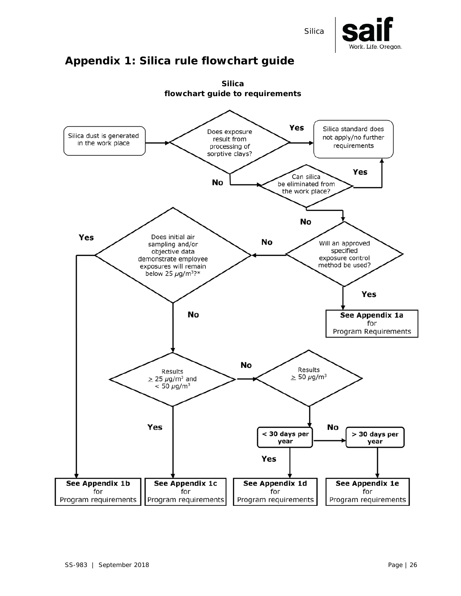

# **Appendix 1: Silica rule flowchart guide**

<span id="page-25-0"></span>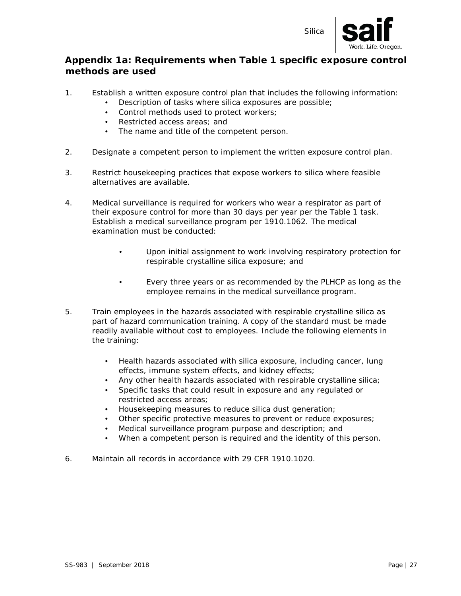

#### **Appendix 1a: Requirements when Table 1 specific exposure control methods are used**

- 1. Establish a written exposure control plan that includes the following information:
	- Description of tasks where silica exposures are possible;
	- Control methods used to protect workers;
	- Restricted access areas; and
	- The name and title of the competent person.
- 2. Designate a competent person to implement the written exposure control plan.
- 3. Restrict housekeeping practices that expose workers to silica where feasible alternatives are available.
- 4. Medical surveillance is required for workers who wear a respirator as part of their exposure control for more than 30 days per year per the Table 1 task. Establish a medical surveillance program per 1910.1062. The medical examination must be conducted:
	- Upon initial assignment to work involving respiratory protection for respirable crystalline silica exposure; and
	- Every three years or as recommended by the PLHCP as long as the employee remains in the medical surveillance program.
- 5. Train employees in the hazards associated with respirable crystalline silica as part of hazard communication training. A copy of the standard must be made readily available without cost to employees. Include the following elements in the training:
	- Health hazards associated with silica exposure, including cancer, lung effects, immune system effects, and kidney effects;
	- Any other health hazards associated with respirable crystalline silica;
	- Specific tasks that could result in exposure and any regulated or restricted access areas;
	- Housekeeping measures to reduce silica dust generation;
	- Other specific protective measures to prevent or reduce exposures;
	- Medical surveillance program purpose and description; and
	- When a competent person is required and the identity of this person.
- <span id="page-26-0"></span>6. Maintain all records in accordance with 29 CFR 1910.1020.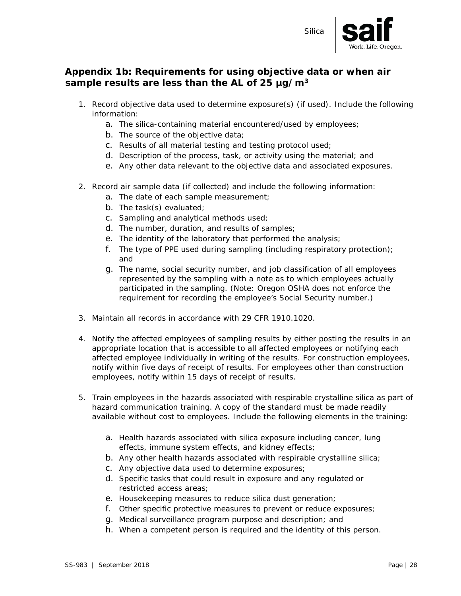

### **Appendix 1b: Requirements for using objective data or when air sample results are less than the AL of 25 µg/m3**

- 1. Record objective data used to determine exposure(s) (if used). Include the following information:
	- a. The silica-containing material encountered/used by employees;
	- b. The source of the objective data;
	- c. Results of all material testing and testing protocol used;
	- d. Description of the process, task, or activity using the material; and
	- e. Any other data relevant to the objective data and associated exposures.
- 2. Record air sample data (if collected) and include the following information:
	- a. The date of each sample measurement;
	- b. The task(s) evaluated;
	- c. Sampling and analytical methods used;
	- d. The number, duration, and results of samples;
	- e. The identity of the laboratory that performed the analysis;
	- f. The type of PPE used during sampling (including respiratory protection); and
	- g. The name, social security number, and job classification of all employees represented by the sampling with a note as to which employees actually participated in the sampling. (Note: Oregon OSHA does not enforce the requirement for recording the employee's Social Security number.)
- 3. Maintain all records in accordance with 29 CFR 1910.1020.
- 4. Notify the affected employees of sampling results by either posting the results in an appropriate location that is accessible to all affected employees or notifying each affected employee individually in writing of the results. For construction employees, notify within five days of receipt of results. For employees other than construction employees, notify within 15 days of receipt of results.
- 5. Train employees in the hazards associated with respirable crystalline silica as part of hazard communication training. A copy of the standard must be made readily available without cost to employees. Include the following elements in the training:
	- a. Health hazards associated with silica exposure including cancer, lung effects, immune system effects, and kidney effects;
	- b. Any other health hazards associated with respirable crystalline silica;
	- c. Any objective data used to determine exposures;
	- d. Specific tasks that could result in exposure and any regulated or restricted access areas;
	- e. Housekeeping measures to reduce silica dust generation;
	- f. Other specific protective measures to prevent or reduce exposures;
	- g. Medical surveillance program purpose and description; and
	- h. When a competent person is required and the identity of this person.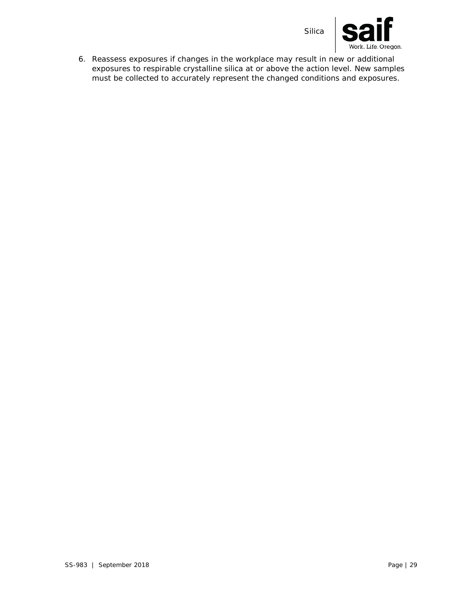



6. Reassess exposures if changes in the workplace may result in new or additional exposures to respirable crystalline silica at or above the action level. New samples must be collected to accurately represent the changed conditions and exposures.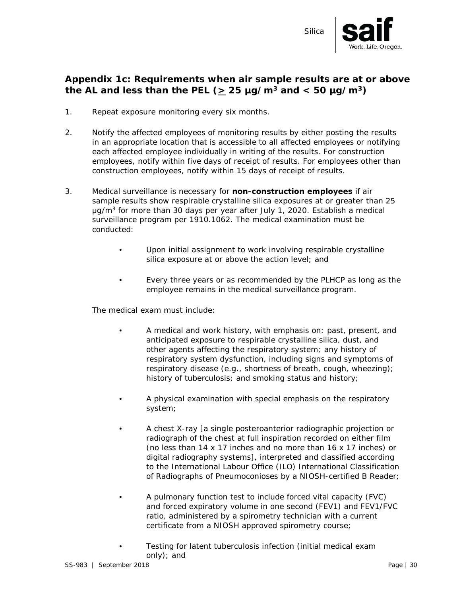

#### <span id="page-29-0"></span>**Appendix 1c: Requirements when air sample results are at or above**  the AL and less than the PEL ( $\geq$  25 µg/m<sup>3</sup> and < 50 µg/m<sup>3</sup>)

- 1. Repeat exposure monitoring every six months.
- 2. Notify the affected employees of monitoring results by either posting the results in an appropriate location that is accessible to all affected employees or notifying each affected employee individually in writing of the results. For construction employees, notify within five days of receipt of results. For employees other than construction employees, notify within 15 days of receipt of results.
- 3. Medical surveillance is necessary for **non-construction employees** if air sample results show respirable crystalline silica exposures at or greater than 25  $\mu$ g/m<sup>3</sup> for more than 30 days per year after July 1, 2020. Establish a medical surveillance program per 1910.1062. The medical examination must be conducted:
	- Upon initial assignment to work involving respirable crystalline silica exposure at or above the action level; and
	- Every three years or as recommended by the PLHCP as long as the employee remains in the medical surveillance program.

The medical exam must include:

- A medical and work history, with emphasis on: past, present, and anticipated exposure to respirable crystalline silica, dust, and other agents affecting the respiratory system; any history of respiratory system dysfunction, including signs and symptoms of respiratory disease (e.g., shortness of breath, cough, wheezing); history of tuberculosis; and smoking status and history;
- A physical examination with special emphasis on the respiratory system;
- A chest X-ray [a single posteroanterior radiographic projection or radiograph of the chest at full inspiration recorded on either film (no less than 14 x 17 inches and no more than 16 x 17 inches) or digital radiography systems], interpreted and classified according to the International Labour Office (ILO) International Classification of Radiographs of Pneumoconioses by a NIOSH-certified B Reader;
- A pulmonary function test to include forced vital capacity (FVC) and forced expiratory volume in one second (FEV1) and FEV1/FVC ratio, administered by a spirometry technician with a current certificate from a NIOSH approved spirometry course;
- Testing for latent tuberculosis infection (initial medical exam only); and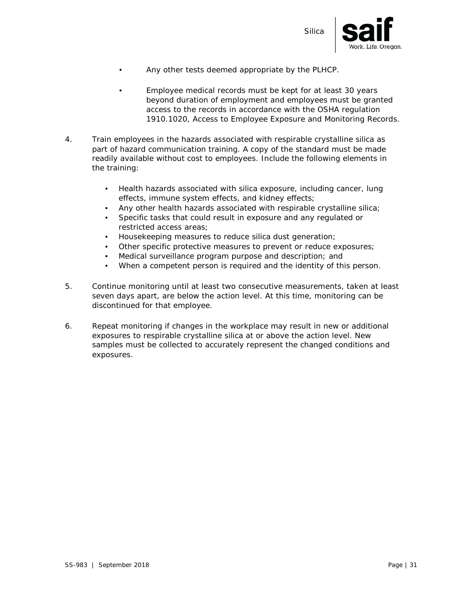

- Any other tests deemed appropriate by the PLHCP.
- Employee medical records must be kept for at least 30 years beyond duration of employment and employees must be granted access to the records in accordance with the OSHA regulation 1910.1020, Access to Employee Exposure and Monitoring Records.
- 4. Train employees in the hazards associated with respirable crystalline silica as part of hazard communication training. A copy of the standard must be made readily available without cost to employees. Include the following elements in the training:
	- Health hazards associated with silica exposure, including cancer, lung effects, immune system effects, and kidney effects;
	- Any other health hazards associated with respirable crystalline silica;
	- Specific tasks that could result in exposure and any regulated or restricted access areas;
	- Housekeeping measures to reduce silica dust generation;
	- Other specific protective measures to prevent or reduce exposures;
	- Medical surveillance program purpose and description; and
	- When a competent person is required and the identity of this person.
- 5. Continue monitoring until at least two consecutive measurements, taken at least seven days apart, are below the action level. At this time, monitoring can be discontinued for that employee.
- 6. Repeat monitoring if changes in the workplace may result in new or additional exposures to respirable crystalline silica at or above the action level. New samples must be collected to accurately represent the changed conditions and exposures.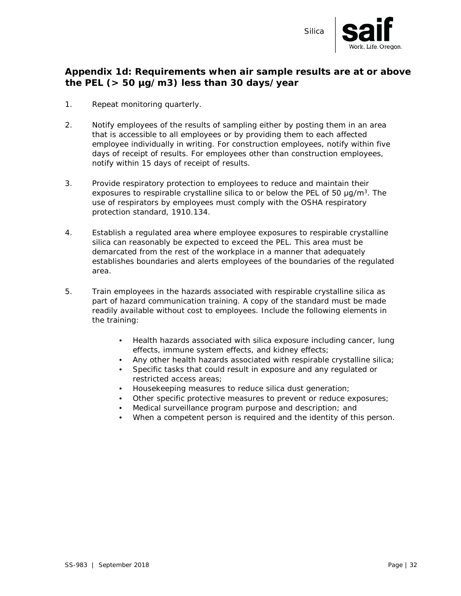

### **Appendix 1d: Requirements when air sample results are at or above the PEL (> 50 µg/m3) less than 30 days/year**

- 1. Repeat monitoring quarterly.
- 2. Notify employees of the results of sampling either by posting them in an area that is accessible to all employees or by providing them to each affected employee individually in writing. For construction employees, notify within five days of receipt of results. For employees other than construction employees, notify within 15 days of receipt of results.
- 3. Provide respiratory protection to employees to reduce and maintain their exposures to respirable crystalline silica to or below the PEL of 50  $\mu q/m^3$ . The use of respirators by employees must comply with the OSHA respiratory protection standard, 1910.134.
- 4. Establish a regulated area where employee exposures to respirable crystalline silica can reasonably be expected to exceed the PEL. This area must be demarcated from the rest of the workplace in a manner that adequately establishes boundaries and alerts employees of the boundaries of the regulated area.
- 5. Train employees in the hazards associated with respirable crystalline silica as part of hazard communication training. A copy of the standard must be made readily available without cost to employees. Include the following elements in the training:
	- Health hazards associated with silica exposure including cancer, lung effects, immune system effects, and kidney effects;
	- Any other health hazards associated with respirable crystalline silica;
	- Specific tasks that could result in exposure and any regulated or restricted access areas;
	- Housekeeping measures to reduce silica dust generation;
	- Other specific protective measures to prevent or reduce exposures;
	- Medical surveillance program purpose and description; and
	- When a competent person is required and the identity of this person.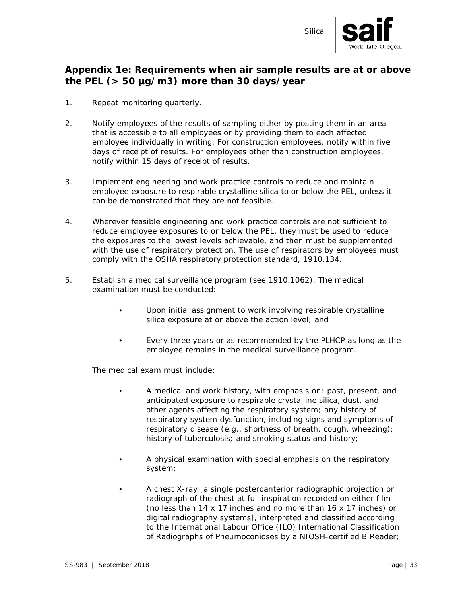

#### **Appendix 1e: Requirements when air sample results are at or above the PEL (> 50 µg/m3) more than 30 days/year**

- 1. Repeat monitoring quarterly.
- 2. Notify employees of the results of sampling either by posting them in an area that is accessible to all employees or by providing them to each affected employee individually in writing. For construction employees, notify within five days of receipt of results. For employees other than construction employees, notify within 15 days of receipt of results.
- 3. Implement engineering and work practice controls to reduce and maintain employee exposure to respirable crystalline silica to or below the PEL, unless it can be demonstrated that they are not feasible.
- 4. Wherever feasible engineering and work practice controls are not sufficient to reduce employee exposures to or below the PEL, they must be used to reduce the exposures to the lowest levels achievable, and then must be supplemented with the use of respiratory protection. The use of respirators by employees must comply with the OSHA respiratory protection standard, 1910.134.
- 5. Establish a medical surveillance program (see 1910.1062). The medical examination must be conducted:
	- Upon initial assignment to work involving respirable crystalline silica exposure at or above the action level; and
	- Every three years or as recommended by the PLHCP as long as the employee remains in the medical surveillance program.

The medical exam must include:

- A medical and work history, with emphasis on: past, present, and anticipated exposure to respirable crystalline silica, dust, and other agents affecting the respiratory system; any history of respiratory system dysfunction, including signs and symptoms of respiratory disease (e.g., shortness of breath, cough, wheezing); history of tuberculosis; and smoking status and history;
- A physical examination with special emphasis on the respiratory system;
- A chest X-ray [a single posteroanterior radiographic projection or radiograph of the chest at full inspiration recorded on either film (no less than 14 x 17 inches and no more than 16 x 17 inches) or digital radiography systems], interpreted and classified according to the International Labour Office (ILO) International Classification of Radiographs of Pneumoconioses by a NIOSH-certified B Reader;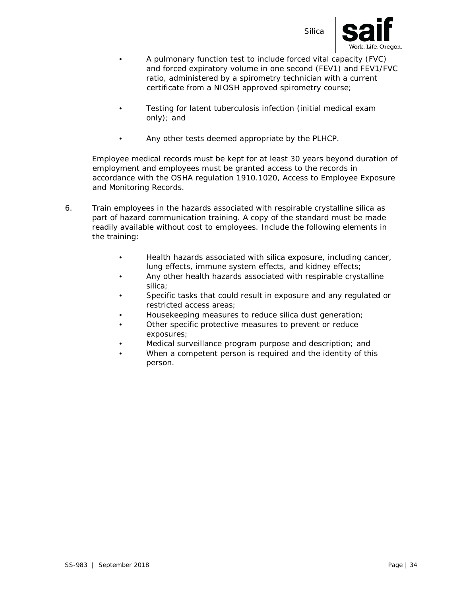



- A pulmonary function test to include forced vital capacity (FVC) and forced expiratory volume in one second (FEV1) and FEV1/FVC ratio, administered by a spirometry technician with a current certificate from a NIOSH approved spirometry course;
- Testing for latent tuberculosis infection (initial medical exam only); and
- Any other tests deemed appropriate by the PLHCP.

Employee medical records must be kept for at least 30 years beyond duration of employment and employees must be granted access to the records in accordance with the OSHA regulation 1910.1020, Access to Employee Exposure and Monitoring Records.

- 6. Train employees in the hazards associated with respirable crystalline silica as part of hazard communication training. A copy of the standard must be made readily available without cost to employees. Include the following elements in the training:
	- Health hazards associated with silica exposure, including cancer, lung effects, immune system effects, and kidney effects;
	- Any other health hazards associated with respirable crystalline silica;
	- Specific tasks that could result in exposure and any regulated or restricted access areas;
	- Housekeeping measures to reduce silica dust generation;
	- Other specific protective measures to prevent or reduce exposures;
	- Medical surveillance program purpose and description; and
	- When a competent person is required and the identity of this person.